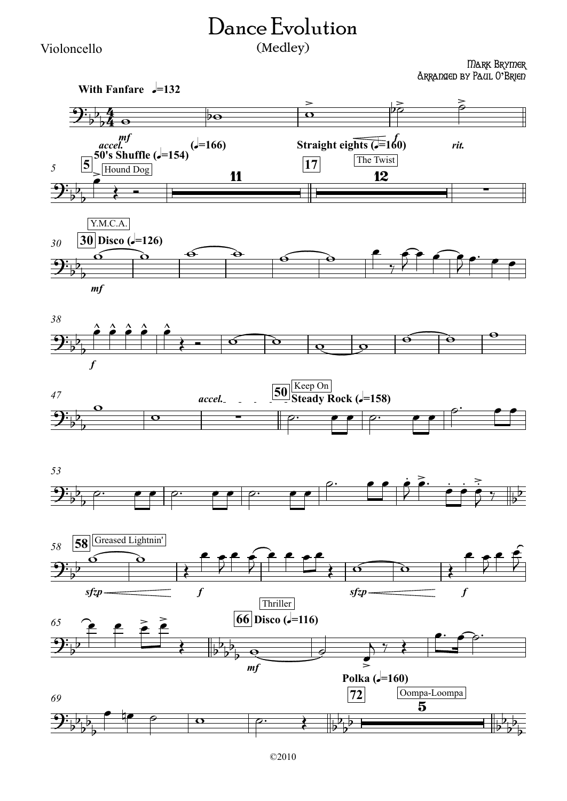## Dance Evolution (Medley)

Violoncello

Mark Brymer Arranged by Paul O**'**Brien